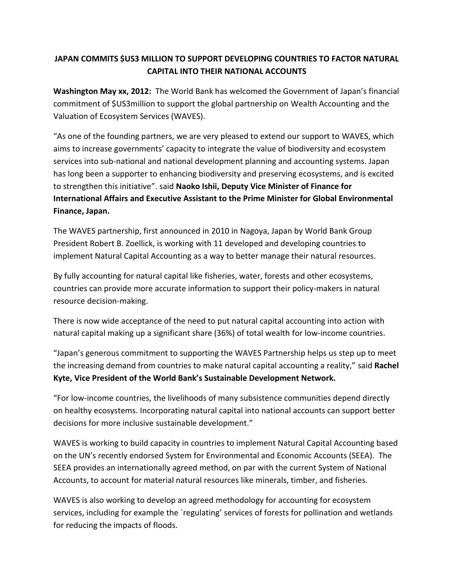## **JAPAN COMMITS \$US3 MILLION TO SUPPORT DEVELOPING COUNTRIES TO FACTOR NATURAL CAPITAL INTO THEIR NATIONAL ACCOUNTS**

**Washington May xx, 2012:** The World Bank has welcomed the Government of Japan's financial commitment of \$US3million to support the global partnership on Wealth Accounting and the Valuation of Ecosystem Services (WAVES).

"As one of the founding partners, we are very pleased to extend our support to WAVES, which aims to increase governments' capacity to integrate the value of biodiversity and ecosystem services into sub-national and national development planning and accounting systems. Japan has long been a supporter to enhancing biodiversity and preserving ecosystems, and is excited to strengthen this initiative". said **Naoko Ishii, Deputy Vice Minister of Finance for International Affairs and Executive Assistant to the Prime Minister for Global Environmental Finance, Japan.**

The WAVES partnership, first announced in 2010 in Nagoya, Japan by World Bank Group President Robert B. Zoellick, is working with 11 developed and developing countries to implement Natural Capital Accounting as a way to better manage their natural resources.

By fully accounting for natural capital like fisheries, water, forests and other ecosystems, countries can provide more accurate information to support their policy-makers in natural resource decision-making.

There is now wide acceptance of the need to put natural capital accounting into action with natural capital making up a significant share (36%) of total wealth for low-income countries.

"Japan's generous commitment to supporting the WAVES Partnership helps us step up to meet the increasing demand from countries to make natural capital accounting a reality," said **Rachel Kyte, Vice President of the World Bank's Sustainable Development Network.** 

"For low-income countries, the livelihoods of many subsistence communities depend directly on healthy ecosystems. Incorporating natural capital into national accounts can support better decisions for more inclusive sustainable development."

WAVES is working to build capacity in countries to implement Natural Capital Accounting based on the UN's recently endorsed System for Environmental and Economic Accounts (SEEA). The SEEA provides an internationally agreed method, on par with the current System of National Accounts, to account for material natural resources like minerals, timber, and fisheries.

WAVES is also working to develop an agreed methodology for accounting for ecosystem services, including for example the `regulating' services of forests for pollination and wetlands for reducing the impacts of floods.